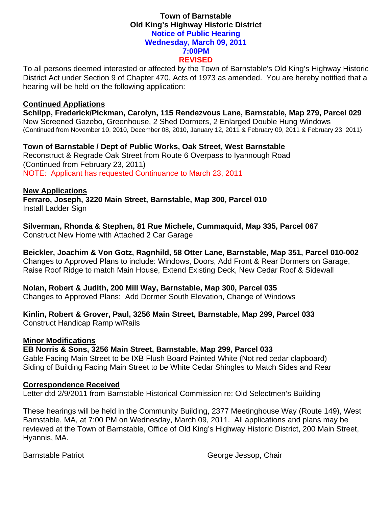### **Town of Barnstable Old King's Highway Historic District Notice of Public Hearing Wednesday, March 09, 2011 7:00PM REVISED**

To all persons deemed interested or affected by the Town of Barnstable's Old King's Highway Historic District Act under Section 9 of Chapter 470, Acts of 1973 as amended. You are hereby notified that a hearing will be held on the following application:

#### **Continued Appliations**

**Schilpp, Frederick/Pickman, Carolyn, 115 Rendezvous Lane, Barnstable, Map 279, Parcel 029**  New Screened Gazebo, Greenhouse, 2 Shed Dormers, 2 Enlarged Double Hung Windows (Continued from November 10, 2010, December 08, 2010, January 12, 2011 & February 09, 2011 & February 23, 2011)

**Town of Barnstable / Dept of Public Works, Oak Street, West Barnstable**  Reconstruct & Regrade Oak Street from Route 6 Overpass to Iyannough Road (Continued from February 23, 2011) NOTE: Applicant has requested Continuance to March 23, 2011

### **New Applications**

**Ferraro, Joseph, 3220 Main Street, Barnstable, Map 300, Parcel 010**  Install Ladder Sign

**Silverman, Rhonda & Stephen, 81 Rue Michele, Cummaquid, Map 335, Parcel 067** 

Construct New Home with Attached 2 Car Garage

**Beickler, Joachim & Von Gotz, Ragnhild, 58 Otter Lane, Barnstable, Map 351, Parcel 010-002**  Changes to Approved Plans to include: Windows, Doors, Add Front & Rear Dormers on Garage, Raise Roof Ridge to match Main House, Extend Existing Deck, New Cedar Roof & Sidewall

**Nolan, Robert & Judith, 200 Mill Way, Barnstable, Map 300, Parcel 035**  Changes to Approved Plans: Add Dormer South Elevation, Change of Windows

# **Kinlin, Robert & Grover, Paul, 3256 Main Street, Barnstable, Map 299, Parcel 033**

Construct Handicap Ramp w/Rails

## **Minor Modifications**

**EB Norris & Sons, 3256 Main Street, Barnstable, Map 299, Parcel 033** 

Gable Facing Main Street to be IXB Flush Board Painted White (Not red cedar clapboard) Siding of Building Facing Main Street to be White Cedar Shingles to Match Sides and Rear

## **Correspondence Received**

Letter dtd 2/9/2011 from Barnstable Historical Commission re: Old Selectmen's Building

These hearings will be held in the Community Building, 2377 Meetinghouse Way (Route 149), West Barnstable, MA, at 7:00 PM on Wednesday, March 09, 2011. All applications and plans may be reviewed at the Town of Barnstable, Office of Old King's Highway Historic District, 200 Main Street, Hyannis, MA.